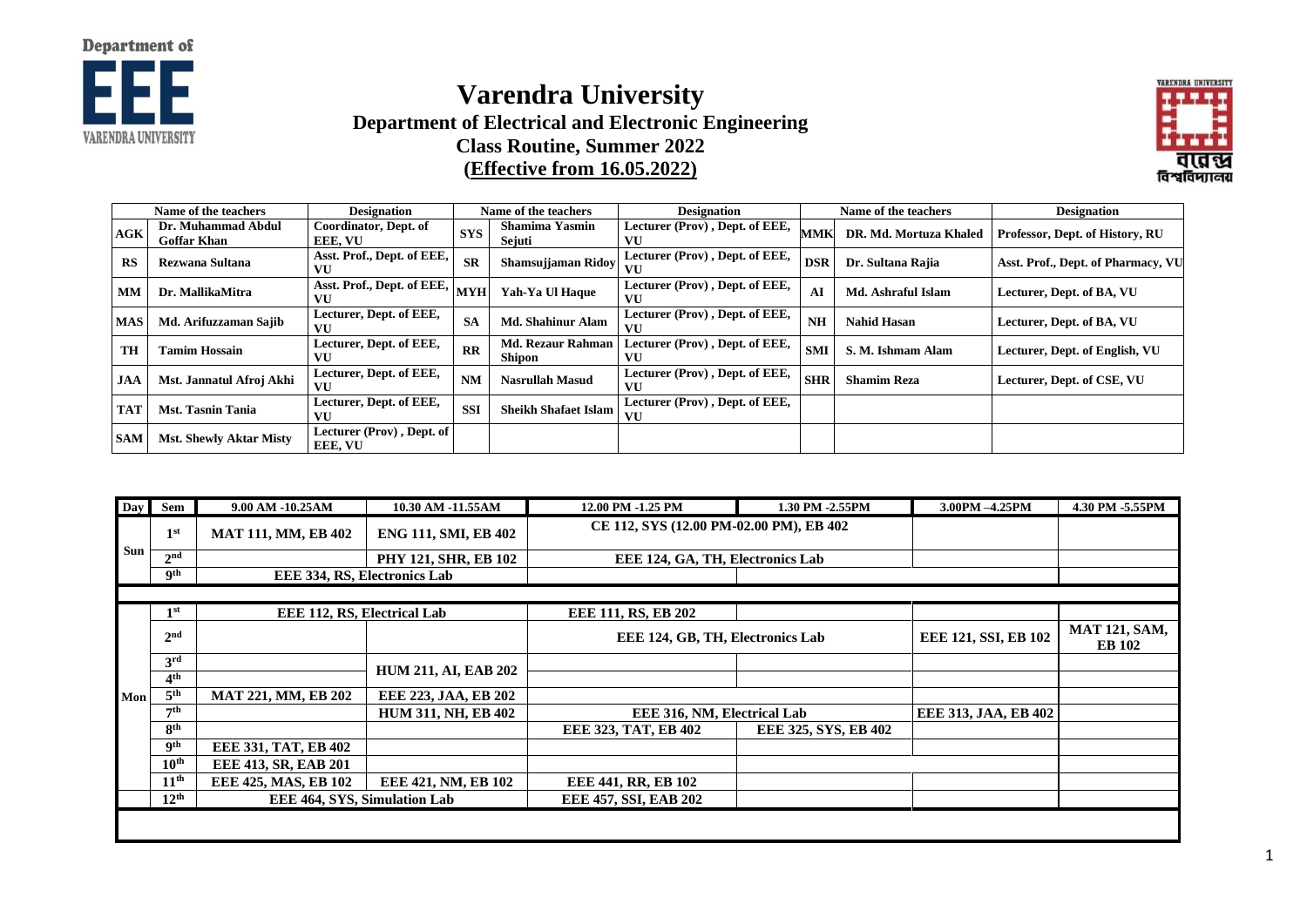

## **Varendra University Department of Electrical and Electronic Engineering Class Routine, Summer 2022 (Effective from 16.05.2022)**



| Name of the teachers |                                          | <b>Designation</b><br>Name of the teachers                                      |                         | <b>Designation</b>                        |                                      | Name of the teachers | <b>Designation</b>     |                                    |
|----------------------|------------------------------------------|---------------------------------------------------------------------------------|-------------------------|-------------------------------------------|--------------------------------------|----------------------|------------------------|------------------------------------|
| AGK                  | Dr. Muhammad Abdul<br><b>Goffar Khan</b> | Coordinator, Dept. of<br>EEE. VU                                                | <b>SYS</b>              | <b>Shamima Yasmin</b><br>Sejuti           | Lecturer (Prov), Dept. of EEE,<br>VU | <b>MMK</b>           | DR. Md. Mortuza Khaled | Professor, Dept. of History, RU    |
| <b>RS</b>            | Rezwana Sultana                          | Asst. Prof., Dept. of EEE,<br>VU                                                | <b>SR</b>               | Shamsujjaman Ridoy                        | Lecturer (Prov), Dept. of EEE,<br>VU | <b>DSR</b>           | Dr. Sultana Rajia      | Asst. Prof., Dept. of Pharmacy, VU |
| <b>MM</b>            | Dr. MallikaMitra                         | $\overline{\text{A}^{\text{sst.}}$ Prof., Dept. of EEE, $ _{\text{MYH}} $<br>VU |                         | Yah-Ya Ul Haque                           | Lecturer (Prov), Dept. of EEE,<br>VU | AI                   | Md. Ashraful Islam     | Lecturer, Dept. of BA, VU          |
| <b>MAS</b>           | Md. Arifuzzaman Sajib                    | Lecturer, Dept. of EEE,<br>VU                                                   | <b>SA</b>               | <b>Md. Shahinur Alam</b>                  | Lecturer (Prov), Dept. of EEE,<br>VU | <b>NH</b>            | <b>Nahid Hasan</b>     | Lecturer, Dept. of BA, VU          |
| <b>TH</b>            | <b>Tamim Hossain</b>                     | Lecturer, Dept. of EEE,<br>VU                                                   | $\overline{\mathbf{R}}$ | <b>Md. Rezaur Rahman</b><br><b>Shipon</b> | Lecturer (Prov), Dept. of EEE,<br>VU | <b>SMI</b>           | S. M. Ishmam Alam      | Lecturer, Dept. of English, VU     |
| <b>JAA</b>           | Mst. Jannatul Afroj Akhi                 | Lecturer, Dept. of EEE,<br>VU                                                   | <b>NM</b>               | <b>Nasrullah Masud</b>                    | Lecturer (Prov), Dept. of EEE,<br>VU | <b>SHR</b>           | <b>Shamim Reza</b>     | Lecturer, Dept. of CSE, VU         |
| <b>TAT</b>           | <b>Mst. Tasnin Tania</b>                 | Lecturer, Dept. of EEE,<br>VU                                                   | <b>SSI</b>              | <b>Sheikh Shafaet Islam</b>               | Lecturer (Prov), Dept. of EEE,<br>VU |                      |                        |                                    |
| <b>SAM</b>           | <b>Mst. Shewly Aktar Misty</b>           | Lecturer (Prov), Dept. of<br><b>EEE, VU</b>                                     |                         |                                           |                                      |                      |                        |                                    |

| <b>Day</b> | Sem              | 9.00 AM -10.25AM             | 10.30 AM -11.55AM           | 12.00 PM -1.25 PM                       | 1.30 PM -2.55PM      | 3.00PM -4.25PM              | 4.30 PM -5.55PM                       |
|------------|------------------|------------------------------|-----------------------------|-----------------------------------------|----------------------|-----------------------------|---------------------------------------|
|            | 1 <sup>st</sup>  | <b>MAT 111, MM, EB 402</b>   | <b>ENG 111, SMI, EB 402</b> | CE 112, SYS (12.00 PM-02.00 PM), EB 402 |                      |                             |                                       |
| Sun        | 2 <sup>nd</sup>  | <b>PHY 121, SHR, EB 102</b>  |                             | EEE 124, GA, TH, Electronics Lab        |                      |                             |                                       |
|            | <b>9th</b>       | EEE 334, RS, Electronics Lab |                             |                                         |                      |                             |                                       |
|            |                  |                              |                             |                                         |                      |                             |                                       |
|            | 1 <sup>st</sup>  | EEE 112, RS, Electrical Lab  |                             | EEE 111, RS, EB 202                     |                      |                             |                                       |
|            | 2 <sup>nd</sup>  |                              |                             | EEE 124, GB, TH, Electronics Lab        |                      | EEE 121, SSI, EB 102        | <b>MAT 121, SAM,</b><br><b>EB</b> 102 |
|            | 3 <sup>rd</sup>  |                              | <b>HUM 211, AI, EAB 202</b> |                                         |                      |                             |                                       |
|            | 4 <sup>th</sup>  |                              |                             |                                         |                      |                             |                                       |
| Mon        | 5 <sup>th</sup>  | <b>MAT 221, MM, EB 202</b>   | EEE 223, JAA, EB 202        |                                         |                      |                             |                                       |
|            | 7 <sup>th</sup>  | <b>HUM 311, NH, EB 402</b>   |                             | EEE 316, NM, Electrical Lab             |                      | <b>EEE 313, JAA, EB 402</b> |                                       |
|            | 8 <sup>th</sup>  |                              |                             | EEE 323, TAT, EB 402                    | EEE 325, SYS, EB 402 |                             |                                       |
|            | <b>9th</b>       | <b>EEE 331, TAT, EB 402</b>  |                             |                                         |                      |                             |                                       |
|            | 10 <sup>th</sup> | EEE 413, SR, EAB 201         |                             |                                         |                      |                             |                                       |
|            | 11 <sup>th</sup> | EEE 425, MAS, EB 102         | EEE 421, NM, EB 102         | EEE 441, RR, EB 102                     |                      |                             |                                       |
|            | 12 <sup>th</sup> | EEE 464, SYS, Simulation Lab |                             | EEE 457, SSI, EAB 202                   |                      |                             |                                       |
|            |                  |                              |                             |                                         |                      |                             |                                       |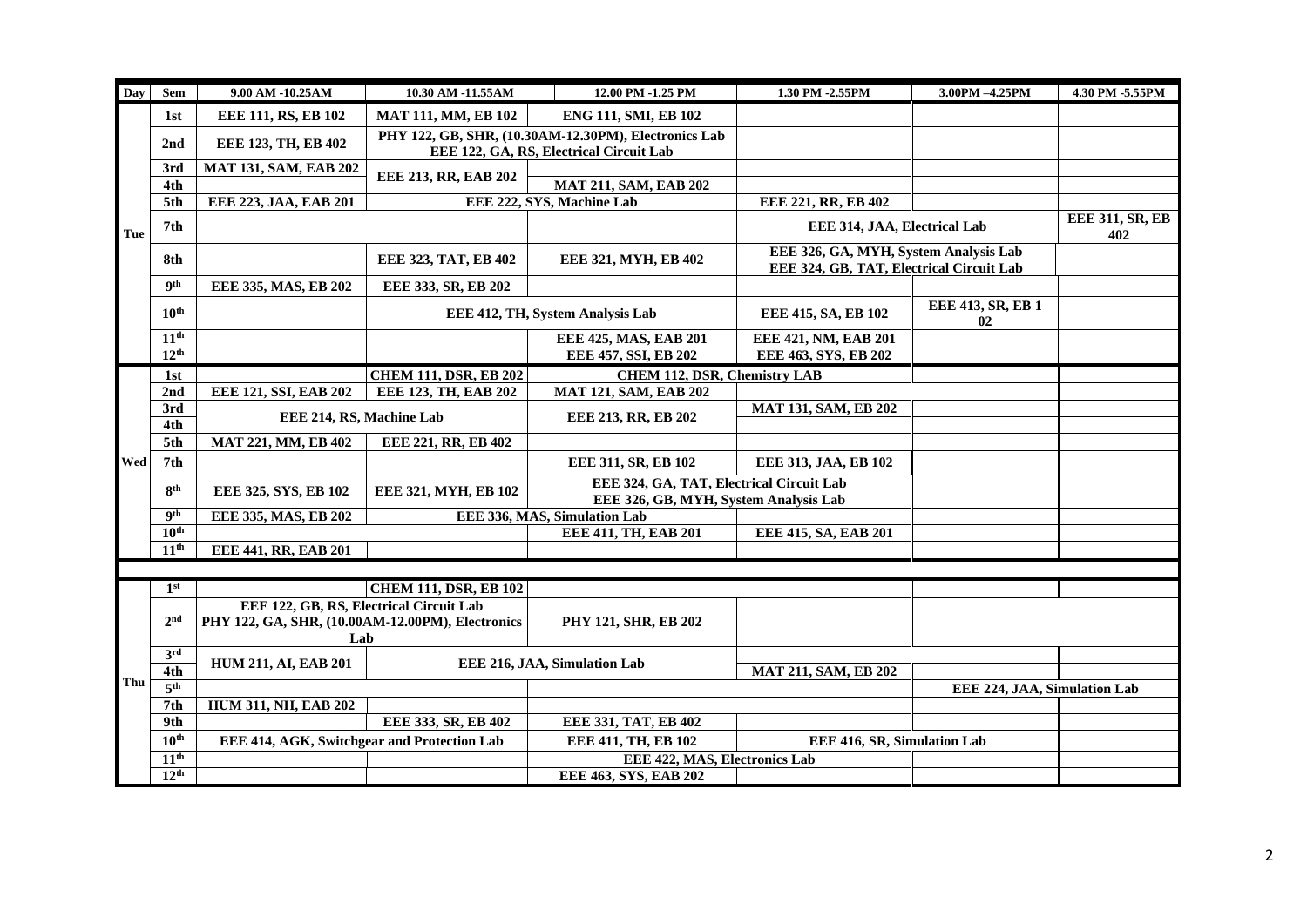| Day | Sem              | 9.00 AM -10.25AM                                        | 10.30 AM -11.55AM                       | 12.00 PM -1.25 PM                                                                 | 1.30 PM -2.55PM                                | 3.00PM -4.25PM               | 4.30 PM -5.55PM        |
|-----|------------------|---------------------------------------------------------|-----------------------------------------|-----------------------------------------------------------------------------------|------------------------------------------------|------------------------------|------------------------|
| Tue | 1st              | EEE 111, RS, EB 102                                     | <b>MAT 111, MM, EB 102</b>              | ENG 111, SMI, EB 102                                                              |                                                |                              |                        |
|     | 2nd              | EEE 123, TH, EB 402                                     |                                         | PHY 122, GB, SHR, (10.30AM-12.30PM), Electronics Lab                              |                                                |                              |                        |
|     |                  |                                                         | EEE 122, GA, RS, Electrical Circuit Lab |                                                                                   |                                                |                              |                        |
|     | 3rd              | <b>MAT 131, SAM, EAB 202</b>                            | EEE 213, RR, EAB 202                    |                                                                                   |                                                |                              |                        |
|     | 4th<br>5th       | EEE 223, JAA, EAB 201                                   |                                         | <b>MAT 211, SAM, EAB 202</b><br>EEE 222, SYS, Machine Lab                         | EEE 221, RR, EB 402                            |                              |                        |
|     |                  |                                                         |                                         |                                                                                   |                                                |                              | <b>EEE 311, SR, EB</b> |
|     | 7th              |                                                         |                                         |                                                                                   | EEE 314, JAA, Electrical Lab                   |                              | 402                    |
|     | 8th              |                                                         | EEE 323, TAT, EB 402                    | EEE 321, MYH, EB 402                                                              | EEE 326, GA, MYH, System Analysis Lab          |                              |                        |
|     |                  |                                                         |                                         |                                                                                   | EEE 324, GB, TAT, Electrical Circuit Lab       |                              |                        |
|     | <b>gth</b>       | EEE 335, MAS, EB 202                                    | EEE 333, SR, EB 202                     |                                                                                   |                                                |                              |                        |
|     | $10^{\text{th}}$ |                                                         |                                         | EEE 412, TH, System Analysis Lab                                                  | EEE 413, SR, EB 1<br>EEE 415, SA, EB 102<br>02 |                              |                        |
|     | 11 <sup>th</sup> |                                                         |                                         | EEE 425, MAS, EAB 201                                                             | EEE 421, NM, EAB 201                           |                              |                        |
|     | 12 <sup>th</sup> |                                                         |                                         | EEE 457, SSI, EB 202                                                              | EEE 463, SYS, EB 202                           |                              |                        |
|     | 1st              |                                                         | <b>CHEM 111, DSR, EB 202</b>            | CHEM 112, DSR, Chemistry LAB                                                      |                                                |                              |                        |
|     | 2nd              | EEE 121, SSI, EAB 202                                   | EEE 123, TH, EAB 202                    | <b>MAT 121, SAM, EAB 202</b>                                                      |                                                |                              |                        |
|     | 3rd              | EEE 214, RS, Machine Lab                                |                                         | EEE 213, RR, EB 202                                                               | <b>MAT 131, SAM, EB 202</b>                    |                              |                        |
|     | 4th              |                                                         |                                         |                                                                                   |                                                |                              |                        |
|     | 5th              | MAT 221, MM, EB 402                                     | EEE 221, RR, EB 402                     |                                                                                   |                                                |                              |                        |
| Wed | 7th              |                                                         |                                         | EEE 311, SR, EB 102                                                               | EEE 313, JAA, EB 102                           |                              |                        |
|     | 8 <sup>th</sup>  | EEE 321, MYH, EB 102<br>EEE 325, SYS, EB 102            |                                         | EEE 324, GA, TAT, Electrical Circuit Lab<br>EEE 326, GB, MYH, System Analysis Lab |                                                |                              |                        |
|     | <b>gth</b>       | EEE 335, MAS, EB 202                                    |                                         | EEE 336, MAS, Simulation Lab                                                      |                                                |                              |                        |
|     | 10 <sup>th</sup> |                                                         |                                         | EEE 411, TH, EAB 201                                                              | EEE 415, SA, EAB 201                           |                              |                        |
|     | 11 <sup>th</sup> | <b>EEE 441, RR, EAB 201</b>                             |                                         |                                                                                   |                                                |                              |                        |
|     |                  |                                                         |                                         |                                                                                   |                                                |                              |                        |
|     | 1 <sup>st</sup>  |                                                         | <b>CHEM 111, DSR, EB 102</b>            |                                                                                   |                                                |                              |                        |
|     | 2 <sub>nd</sub>  | EEE 122, GB, RS, Electrical Circuit Lab                 |                                         |                                                                                   |                                                |                              |                        |
|     |                  | PHY 122, GA, SHR, (10.00AM-12.00PM), Electronics<br>Lab |                                         | PHY 121, SHR, EB 202                                                              |                                                |                              |                        |
| Thu | 3rd              |                                                         |                                         |                                                                                   |                                                |                              |                        |
|     | 4th              | <b>HUM 211, AI, EAB 201</b>                             |                                         | EEE 216, JAA, Simulation Lab                                                      | <b>MAT 211, SAM, EB 202</b>                    |                              |                        |
|     | 5 <sup>th</sup>  |                                                         |                                         |                                                                                   |                                                | EEE 224, JAA, Simulation Lab |                        |
|     | 7th              | <b>HUM 311, NH, EAB 202</b>                             |                                         |                                                                                   |                                                |                              |                        |
|     | 9th              |                                                         | EEE 333, SR, EB 402                     | EEE 331, TAT, EB 402                                                              |                                                |                              |                        |
|     | $10^{\text{th}}$ | EEE 414, AGK, Switchgear and Protection Lab             |                                         | EEE 411, TH, EB 102                                                               | EEE 416, SR, Simulation Lab                    |                              |                        |
|     | 11 <sup>th</sup> |                                                         |                                         | EEE 422, MAS, Electronics Lab                                                     |                                                |                              |                        |
|     | 12 <sup>th</sup> |                                                         |                                         | EEE 463, SYS, EAB 202                                                             |                                                |                              |                        |